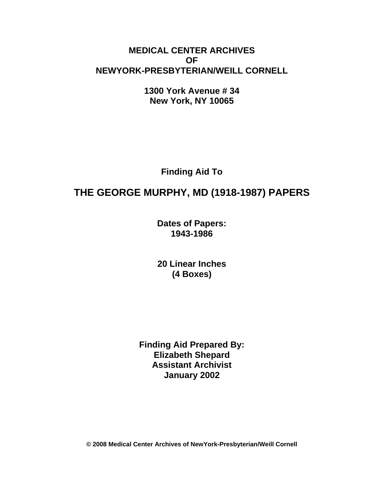## **MEDICAL CENTER ARCHIVES OF NEWYORK-PRESBYTERIAN/WEILL CORNELL**

**1300 York Avenue # 34 New York, NY 10065** 

**Finding Aid To** 

# **THE GEORGE MURPHY, MD (1918-1987) PAPERS**

**Dates of Papers: 1943-1986**

**20 Linear Inches (4 Boxes)** 

**Finding Aid Prepared By: Elizabeth Shepard Assistant Archivist January 2002** 

**© 2008 Medical Center Archives of NewYork-Presbyterian/Weill Cornell**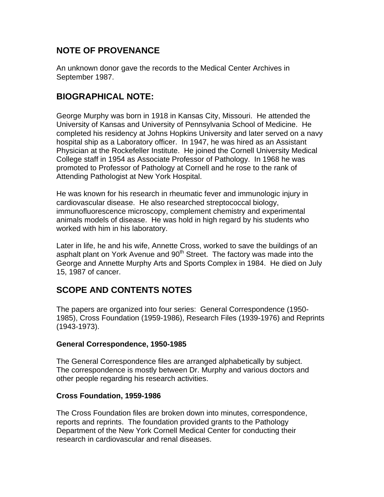## **NOTE OF PROVENANCE**

An unknown donor gave the records to the Medical Center Archives in September 1987.

### **BIOGRAPHICAL NOTE:**

George Murphy was born in 1918 in Kansas City, Missouri. He attended the University of Kansas and University of Pennsylvania School of Medicine. He completed his residency at Johns Hopkins University and later served on a navy hospital ship as a Laboratory officer. In 1947, he was hired as an Assistant Physician at the Rockefeller Institute. He joined the Cornell University Medical College staff in 1954 as Associate Professor of Pathology. In 1968 he was promoted to Professor of Pathology at Cornell and he rose to the rank of Attending Pathologist at New York Hospital.

He was known for his research in rheumatic fever and immunologic injury in cardiovascular disease. He also researched streptococcal biology, immunofluorescence microscopy, complement chemistry and experimental animals models of disease. He was hold in high regard by his students who worked with him in his laboratory.

Later in life, he and his wife, Annette Cross, worked to save the buildings of an asphalt plant on York Avenue and 90<sup>th</sup> Street. The factory was made into the George and Annette Murphy Arts and Sports Complex in 1984. He died on July 15, 1987 of cancer.

## **SCOPE AND CONTENTS NOTES**

The papers are organized into four series: General Correspondence (1950- 1985), Cross Foundation (1959-1986), Research Files (1939-1976) and Reprints (1943-1973).

### **General Correspondence, 1950-1985**

The General Correspondence files are arranged alphabetically by subject. The correspondence is mostly between Dr. Murphy and various doctors and other people regarding his research activities.

### **Cross Foundation, 1959-1986**

The Cross Foundation files are broken down into minutes, correspondence, reports and reprints. The foundation provided grants to the Pathology Department of the New York Cornell Medical Center for conducting their research in cardiovascular and renal diseases.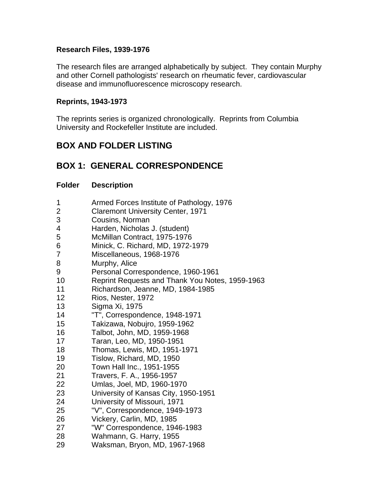### **Research Files, 1939-1976**

The research files are arranged alphabetically by subject. They contain Murphy and other Cornell pathologists' research on rheumatic fever, cardiovascular disease and immunofluorescence microscopy research.

#### **Reprints, 1943-1973**

The reprints series is organized chronologically. Reprints from Columbia University and Rockefeller Institute are included.

## **BOX AND FOLDER LISTING**

## **BOX 1: GENERAL CORRESPONDENCE**

#### **Folder Description**

| 1               | Armed Forces Institute of Pathology, 1976       |
|-----------------|-------------------------------------------------|
| $\overline{2}$  | <b>Claremont University Center, 1971</b>        |
| 3               | Cousins, Norman                                 |
| 4               | Harden, Nicholas J. (student)                   |
| 5               | McMillan Contract, 1975-1976                    |
| 6               | Minick, C. Richard, MD, 1972-1979               |
| 7               | Miscellaneous, 1968-1976                        |
| 8               | Murphy, Alice                                   |
| 9               | Personal Correspondence, 1960-1961              |
| 10              | Reprint Requests and Thank You Notes, 1959-1963 |
| 11              | Richardson, Jeanne, MD, 1984-1985               |
| 12              | Rios, Nester, 1972                              |
| 13              | Sigma Xi, 1975                                  |
| 14              | "T", Correspondence, 1948-1971                  |
| 15 <sub>2</sub> | Takizawa, Nobujro, 1959-1962                    |
| 16              | Talbot, John, MD, 1959-1968                     |
| 17              | Taran, Leo, MD, 1950-1951                       |
| 18              | Thomas, Lewis, MD, 1951-1971                    |
| 19              | Tislow, Richard, MD, 1950                       |
| 20              | Town Hall Inc., 1951-1955                       |
| 21              | Travers, F. A., 1956-1957                       |
| 22              | Umlas, Joel, MD, 1960-1970                      |
| 23              | University of Kansas City, 1950-1951            |
| 24              | University of Missouri, 1971                    |
| 25              | "V", Correspondence, 1949-1973                  |
| 26              | Vickery, Carlin, MD, 1985                       |
| 27              | "W" Correspondence, 1946-1983                   |
| 28              | Wahmann, G. Harry, 1955                         |
| 29              | Waksman, Bryon, MD, 1967-1968                   |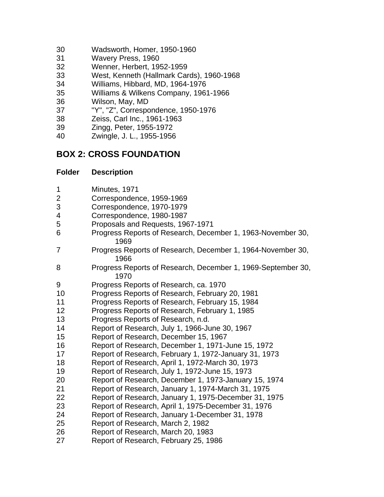- 30 Wadsworth, Homer, 1950-1960
- 31 Wavery Press, 1960
- 32 Wenner, Herbert, 1952-1959
- 33 West, Kenneth (Hallmark Cards), 1960-1968
- 34 Williams, Hibbard, MD, 1964-1976
- 35 Williams & Wilkens Company, 1961-1966
- 36 Wilson, May, MD
- 37 "Y", "Z", Correspondence, 1950-1976
- 38 Zeiss, Carl Inc., 1961-1963
- 39 Zingg, Peter, 1955-1972
- 40 Zwingle, J. L., 1955-1956

## **BOX 2: CROSS FOUNDATION**

### **Folder Description**

- 1 Minutes, 1971
- 2 Correspondence, 1959-1969
- 3 Correspondence, 1970-1979
- 4 Correspondence, 1980-1987
- 5 Proposals and Requests, 1967-1971
- 6 Progress Reports of Research, December 1, 1963-November 30, 1969
- 7 Progress Reports of Research, December 1, 1964-November 30, 1966
- 8 Progress Reports of Research, December 1, 1969-September 30, 1970
- 9 Progress Reports of Research, ca. 1970
- 10 Progress Reports of Research, February 20, 1981
- 11 Progress Reports of Research, February 15, 1984
- 12 Progress Reports of Research, February 1, 1985
- 13 Progress Reports of Research, n.d.
- 14 Report of Research, July 1, 1966-June 30, 1967
- 15 Report of Research, December 15, 1967
- 16 Report of Research, December 1, 1971-June 15, 1972
- 17 Report of Research, February 1, 1972-January 31, 1973
- 18 Report of Research, April 1, 1972-March 30, 1973
- 19 Report of Research, July 1, 1972-June 15, 1973
- 20 Report of Research, December 1, 1973-January 15, 1974
- 21 Report of Research, January 1, 1974-March 31, 1975
- 22 Report of Research, January 1, 1975-December 31, 1975
- 23 Report of Research, April 1, 1975-December 31, 1976
- 24 Report of Research, January 1-December 31, 1978
- 25 Report of Research, March 2, 1982
- 26 Report of Research, March 20, 1983
- 27 Report of Research, February 25, 1986